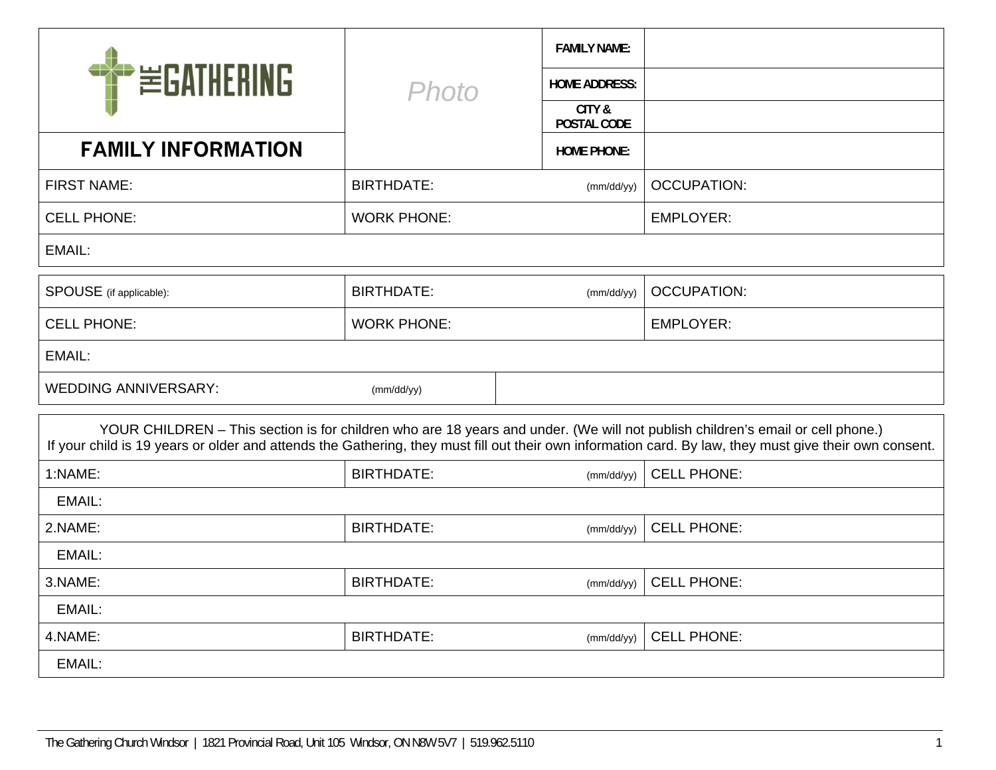| <b>PEGATHERING</b>                                                                                                                                                                                                                                                                       |                                 | <b>FAMILY NAME:</b>   |                    |  |  |  |
|------------------------------------------------------------------------------------------------------------------------------------------------------------------------------------------------------------------------------------------------------------------------------------------|---------------------------------|-----------------------|--------------------|--|--|--|
|                                                                                                                                                                                                                                                                                          | <b>Photo</b>                    | <b>HOME ADDRESS:</b>  |                    |  |  |  |
|                                                                                                                                                                                                                                                                                          |                                 | CITY &<br>POSTAL CODE |                    |  |  |  |
| <b>FAMILY INFORMATION</b>                                                                                                                                                                                                                                                                |                                 | <b>HOME PHONE:</b>    |                    |  |  |  |
| <b>FIRST NAME:</b>                                                                                                                                                                                                                                                                       | <b>BIRTHDATE:</b>               | (mm/dd/yy)            | <b>OCCUPATION:</b> |  |  |  |
| <b>CELL PHONE:</b>                                                                                                                                                                                                                                                                       | <b>WORK PHONE:</b>              |                       | <b>EMPLOYER:</b>   |  |  |  |
| EMAIL:                                                                                                                                                                                                                                                                                   |                                 |                       |                    |  |  |  |
| SPOUSE (if applicable):                                                                                                                                                                                                                                                                  | <b>BIRTHDATE:</b><br>(mm/dd/yy) |                       | <b>OCCUPATION:</b> |  |  |  |
| <b>CELL PHONE:</b>                                                                                                                                                                                                                                                                       | <b>WORK PHONE:</b>              |                       | <b>EMPLOYER:</b>   |  |  |  |
| EMAIL:                                                                                                                                                                                                                                                                                   |                                 |                       |                    |  |  |  |
| <b>WEDDING ANNIVERSARY:</b>                                                                                                                                                                                                                                                              | (mm/dd/yy)                      |                       |                    |  |  |  |
| YOUR CHILDREN - This section is for children who are 18 years and under. (We will not publish children's email or cell phone.)<br>If your child is 19 years or older and attends the Gathering, they must fill out their own information card. By law, they must give their own consent. |                                 |                       |                    |  |  |  |
| 1:NAME:                                                                                                                                                                                                                                                                                  | <b>BIRTHDATE:</b><br>(mm/dd/yy) |                       | <b>CELL PHONE:</b> |  |  |  |
| EMAIL:                                                                                                                                                                                                                                                                                   |                                 |                       |                    |  |  |  |
| 2.NAME:                                                                                                                                                                                                                                                                                  | <b>BIRTHDATE:</b>               | (mm/dd/yy)            | <b>CELL PHONE:</b> |  |  |  |
| EMAIL:                                                                                                                                                                                                                                                                                   |                                 |                       |                    |  |  |  |
| 3.NAME:                                                                                                                                                                                                                                                                                  | <b>BIRTHDATE:</b>               | (mm/dd/yy)            | <b>CELL PHONE:</b> |  |  |  |
| EMAIL:                                                                                                                                                                                                                                                                                   |                                 |                       |                    |  |  |  |
| 4.NAME:                                                                                                                                                                                                                                                                                  | <b>BIRTHDATE:</b>               | (mm/dd/yy)            | <b>CELL PHONE:</b> |  |  |  |
| EMAIL:                                                                                                                                                                                                                                                                                   |                                 |                       |                    |  |  |  |